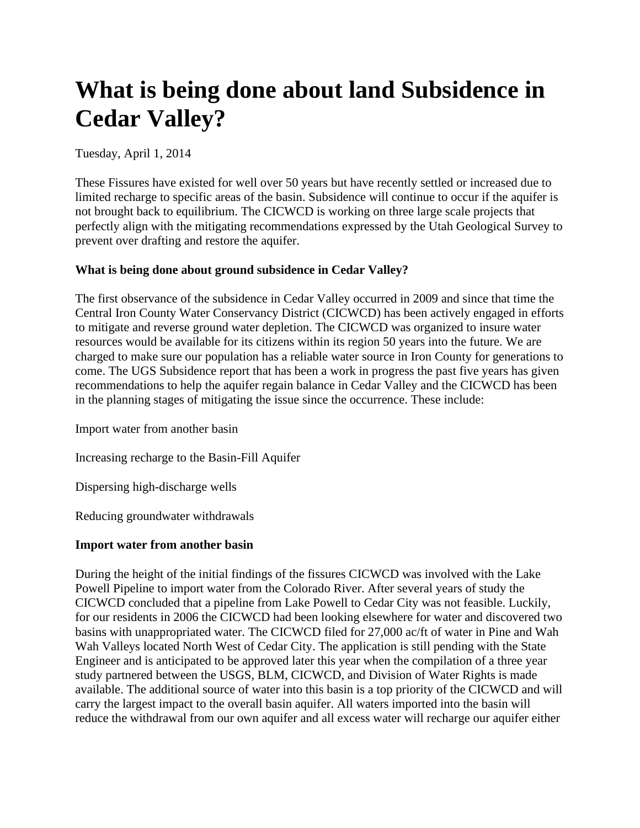# **What is being done about land Subsidence in Cedar Valley?**

Tuesday, April 1, 2014

These Fissures have existed for well over 50 years but have recently settled or increased due to limited recharge to specific areas of the basin. Subsidence will continue to occur if the aquifer is not brought back to equilibrium. The CICWCD is working on three large scale projects that perfectly align with the mitigating recommendations expressed by the Utah Geological Survey to prevent over drafting and restore the aquifer.

## **What is being done about ground subsidence in Cedar Valley?**

The first observance of the subsidence in Cedar Valley occurred in 2009 and since that time the Central Iron County Water Conservancy District (CICWCD) has been actively engaged in efforts to mitigate and reverse ground water depletion. The CICWCD was organized to insure water resources would be available for its citizens within its region 50 years into the future. We are charged to make sure our population has a reliable water source in Iron County for generations to come. The UGS Subsidence report that has been a work in progress the past five years has given recommendations to help the aquifer regain balance in Cedar Valley and the CICWCD has been in the planning stages of mitigating the issue since the occurrence. These include:

Import water from another basin

Increasing recharge to the Basin-Fill Aquifer

Dispersing high-discharge wells

Reducing groundwater withdrawals

## **Import water from another basin**

During the height of the initial findings of the fissures CICWCD was involved with the Lake Powell Pipeline to import water from the Colorado River. After several years of study the CICWCD concluded that a pipeline from Lake Powell to Cedar City was not feasible. Luckily, for our residents in 2006 the CICWCD had been looking elsewhere for water and discovered two basins with unappropriated water. The CICWCD filed for 27,000 ac/ft of water in Pine and Wah Wah Valleys located North West of Cedar City. The application is still pending with the State Engineer and is anticipated to be approved later this year when the compilation of a three year study partnered between the USGS, BLM, CICWCD, and Division of Water Rights is made available. The additional source of water into this basin is a top priority of the CICWCD and will carry the largest impact to the overall basin aquifer. All waters imported into the basin will reduce the withdrawal from our own aquifer and all excess water will recharge our aquifer either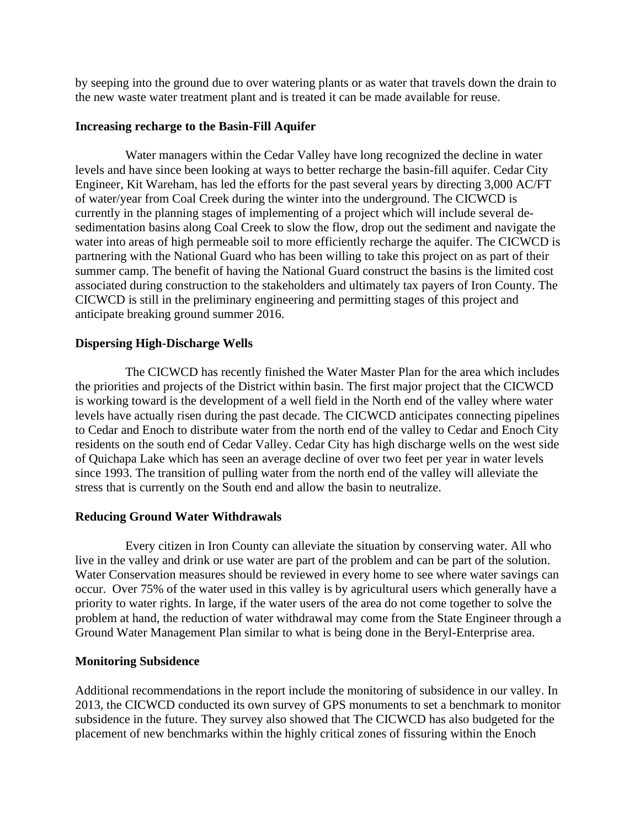by seeping into the ground due to over watering plants or as water that travels down the drain to the new waste water treatment plant and is treated it can be made available for reuse.

#### **Increasing recharge to the Basin-Fill Aquifer**

Water managers within the Cedar Valley have long recognized the decline in water levels and have since been looking at ways to better recharge the basin-fill aquifer. Cedar City Engineer, Kit Wareham, has led the efforts for the past several years by directing 3,000 AC/FT of water/year from Coal Creek during the winter into the underground. The CICWCD is currently in the planning stages of implementing of a project which will include several desedimentation basins along Coal Creek to slow the flow, drop out the sediment and navigate the water into areas of high permeable soil to more efficiently recharge the aquifer. The CICWCD is partnering with the National Guard who has been willing to take this project on as part of their summer camp. The benefit of having the National Guard construct the basins is the limited cost associated during construction to the stakeholders and ultimately tax payers of Iron County. The CICWCD is still in the preliminary engineering and permitting stages of this project and anticipate breaking ground summer 2016.

#### **Dispersing High-Discharge Wells**

The CICWCD has recently finished the Water Master Plan for the area which includes the priorities and projects of the District within basin. The first major project that the CICWCD is working toward is the development of a well field in the North end of the valley where water levels have actually risen during the past decade. The CICWCD anticipates connecting pipelines to Cedar and Enoch to distribute water from the north end of the valley to Cedar and Enoch City residents on the south end of Cedar Valley. Cedar City has high discharge wells on the west side of Quichapa Lake which has seen an average decline of over two feet per year in water levels since 1993. The transition of pulling water from the north end of the valley will alleviate the stress that is currently on the South end and allow the basin to neutralize.

#### **Reducing Ground Water Withdrawals**

Every citizen in Iron County can alleviate the situation by conserving water. All who live in the valley and drink or use water are part of the problem and can be part of the solution. Water Conservation measures should be reviewed in every home to see where water savings can occur. Over 75% of the water used in this valley is by agricultural users which generally have a priority to water rights. In large, if the water users of the area do not come together to solve the problem at hand, the reduction of water withdrawal may come from the State Engineer through a Ground Water Management Plan similar to what is being done in the Beryl-Enterprise area.

#### **Monitoring Subsidence**

Additional recommendations in the report include the monitoring of subsidence in our valley. In 2013, the CICWCD conducted its own survey of GPS monuments to set a benchmark to monitor subsidence in the future. They survey also showed that The CICWCD has also budgeted for the placement of new benchmarks within the highly critical zones of fissuring within the Enoch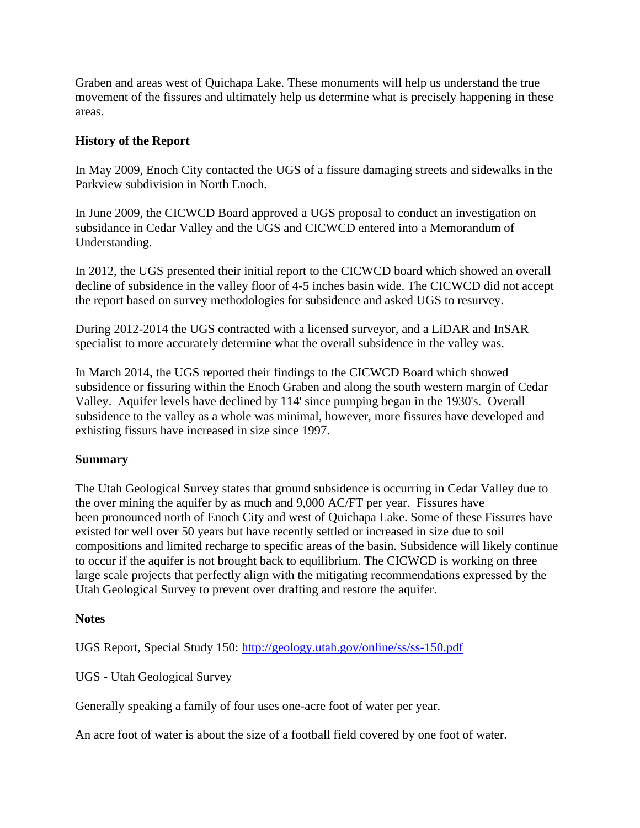Graben and areas west of Quichapa Lake. These monuments will help us understand the true movement of the fissures and ultimately help us determine what is precisely happening in these areas.

## **History of the Report**

In May 2009, Enoch City contacted the UGS of a fissure damaging streets and sidewalks in the Parkview subdivision in North Enoch.

In June 2009, the CICWCD Board approved a UGS proposal to conduct an investigation on subsidance in Cedar Valley and the UGS and CICWCD entered into a Memorandum of Understanding.

In 2012, the UGS presented their initial report to the CICWCD board which showed an overall decline of subsidence in the valley floor of 4-5 inches basin wide. The CICWCD did not accept the report based on survey methodologies for subsidence and asked UGS to resurvey.

During 2012-2014 the UGS contracted with a licensed surveyor, and a LiDAR and InSAR specialist to more accurately determine what the overall subsidence in the valley was.

In March 2014, the UGS reported their findings to the CICWCD Board which showed subsidence or fissuring within the Enoch Graben and along the south western margin of Cedar Valley. Aquifer levels have declined by 114' since pumping began in the 1930's. Overall subsidence to the valley as a whole was minimal, however, more fissures have developed and exhisting fissurs have increased in size since 1997.

### **Summary**

The Utah Geological Survey states that ground subsidence is occurring in Cedar Valley due to the over mining the aquifer by as much and 9,000 AC/FT per year. Fissures have been pronounced north of Enoch City and west of Quichapa Lake. Some of these Fissures have existed for well over 50 years but have recently settled or increased in size due to soil compositions and limited recharge to specific areas of the basin. Subsidence will likely continue to occur if the aquifer is not brought back to equilibrium. The CICWCD is working on three large scale projects that perfectly align with the mitigating recommendations expressed by the Utah Geological Survey to prevent over drafting and restore the aquifer.

## **Notes**

UGS Report, Special Study 150: <http://geology.utah.gov/online/ss/ss-150.pdf>

UGS - Utah Geological Survey

Generally speaking a family of four uses one-acre foot of water per year.

An acre foot of water is about the size of a football field covered by one foot of water.